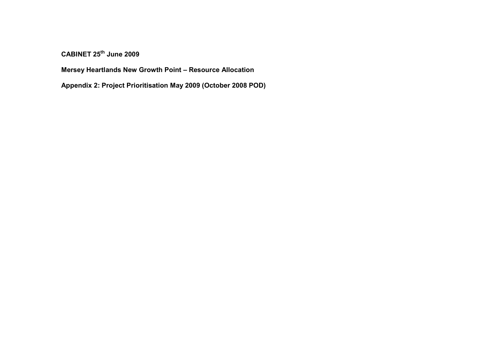CABINET 25<sup>th</sup> June 2009

Mersey Heartlands New Growth Point – Resource Allocation

Appendix 2: Project Prioritisation May 2009 (October 2008 POD)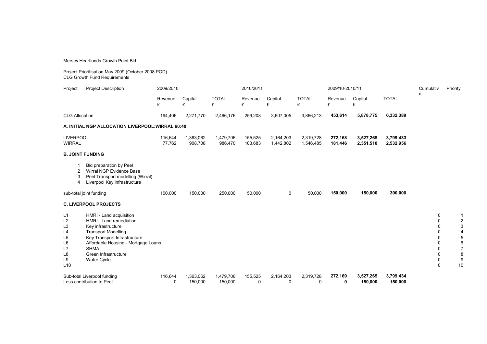Mersey Heartlands Growth Point Bid

Project Prioritisation May 2009 (October 2008 POD) CLG Growth Fund Requirements

| Project                                                                                                   | <b>Project Description</b>                                                                                                                                                                                                          | 2009/2010         |                      |                      | 2010/2011          |                        |                        | 2009/10-2010/11    |                        |                        | Cumulativ                                                                                                      | Priority                                           |
|-----------------------------------------------------------------------------------------------------------|-------------------------------------------------------------------------------------------------------------------------------------------------------------------------------------------------------------------------------------|-------------------|----------------------|----------------------|--------------------|------------------------|------------------------|--------------------|------------------------|------------------------|----------------------------------------------------------------------------------------------------------------|----------------------------------------------------|
|                                                                                                           |                                                                                                                                                                                                                                     | Revenue<br>£      | Capital<br>£         | <b>TOTAL</b><br>£    | Revenue<br>£       | Capital<br>£           | <b>TOTAL</b><br>£      | Revenue<br>£       | Capital<br>£           | <b>TOTAL</b>           | e                                                                                                              |                                                    |
| <b>CLG Allocation</b>                                                                                     |                                                                                                                                                                                                                                     | 194,406           | 2,271,770            | 2,466,176            | 259,208            | 3,607,005              | 3,866,213              | 453,614            | 5,878,775              | 6,332,389              |                                                                                                                |                                                    |
|                                                                                                           | A. INITIAL NGP ALLOCATION LIVERPOOL: WIRRAL 60:40                                                                                                                                                                                   |                   |                      |                      |                    |                        |                        |                    |                        |                        |                                                                                                                |                                                    |
| <b>LIVERPOOL</b><br><b>WIRRAL</b>                                                                         |                                                                                                                                                                                                                                     | 116,644<br>77,762 | 1,363,062<br>908,708 | 1,479,706<br>986,470 | 155,525<br>103,683 | 2,164,203<br>1,442,802 | 2,319,728<br>1,546,485 | 272,168<br>181,446 | 3,527,265<br>2,351,510 | 3,799,433<br>2,532,956 |                                                                                                                |                                                    |
|                                                                                                           | <b>B. JOINT FUNDING</b>                                                                                                                                                                                                             |                   |                      |                      |                    |                        |                        |                    |                        |                        |                                                                                                                |                                                    |
| 2<br>3<br>$\overline{4}$                                                                                  | Bid preparation by Peel<br>Wirral NGP Evidence Base<br>Peel Transport modelling (Wirral)<br>Liverpool Key infrastructure                                                                                                            |                   |                      |                      |                    |                        |                        |                    |                        |                        |                                                                                                                |                                                    |
| sub-total joint funding                                                                                   |                                                                                                                                                                                                                                     | 100,000           | 150,000              | 250,000              | 50,000             | 0                      | 50,000                 | 150,000            | 150,000                | 300,000                |                                                                                                                |                                                    |
|                                                                                                           | <b>C. LIVERPOOL PROJECTS</b>                                                                                                                                                                                                        |                   |                      |                      |                    |                        |                        |                    |                        |                        |                                                                                                                |                                                    |
| L1<br>L2<br>L <sub>3</sub><br>L4<br>L <sub>5</sub><br>L <sub>6</sub><br>L7<br>L <sub>8</sub><br>L9<br>L10 | HMRI - Land acquisition<br>HMRI - Land remediation<br>Key infrastructure<br><b>Transport Modelling</b><br>Key Transport Infrastructure<br>Affordable Housing - Mortgage Loans<br><b>SHMA</b><br>Green Infrastructure<br>Water Cycle |                   |                      |                      |                    |                        |                        |                    |                        |                        | 0<br>0<br>$\mathbf 0$<br>0<br>$\Omega$<br>$\Omega$<br>$\mathbf 0$<br>$\mathbf 0$<br>$\mathbf 0$<br>$\mathbf 0$ | $\overline{2}$<br>3<br>5<br>6<br>7<br>8<br>9<br>10 |
| Sub-total Liverpool funding<br>Less contribution to Peel                                                  |                                                                                                                                                                                                                                     | 116,644<br>0      | 1,363,062<br>150,000 | 1,479,706<br>150,000 | 155,525<br>0       | 2,164,203<br>0         | 2,319,728<br>0         | 272,169<br>0       | 3,527,265<br>150,000   | 3,799,434<br>150,000   |                                                                                                                |                                                    |